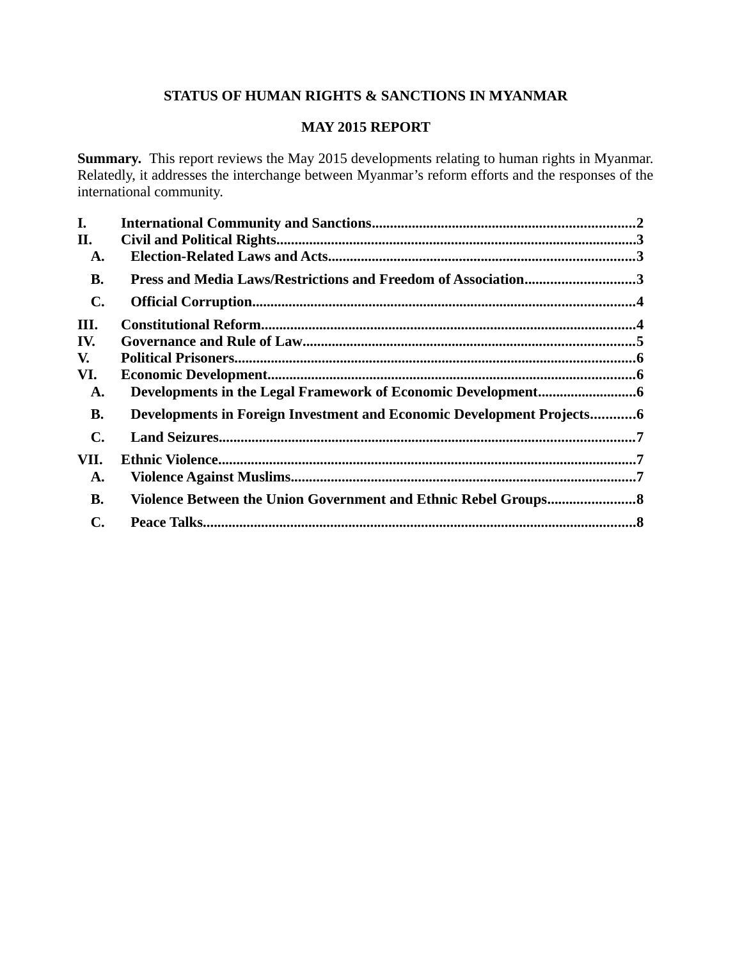# **STATUS OF HUMAN RIGHTS & SANCTIONS IN MYANMAR**

# **MAY 2015 REPORT**

**Summary.** This report reviews the May 2015 developments relating to human rights in Myanmar. Relatedly, it addresses the interchange between Myanmar's reform efforts and the responses of the international community.

| I.             |                                                                       |  |
|----------------|-----------------------------------------------------------------------|--|
| II.            |                                                                       |  |
| A.             |                                                                       |  |
| <b>B.</b>      | Press and Media Laws/Restrictions and Freedom of Association3         |  |
| $\mathbf{C}$ . |                                                                       |  |
| III.           |                                                                       |  |
| IV.            |                                                                       |  |
| V.             |                                                                       |  |
| VI.            |                                                                       |  |
| A.             |                                                                       |  |
| <b>B.</b>      | Developments in Foreign Investment and Economic Development Projects6 |  |
| $\mathbf{C}$ . |                                                                       |  |
| VII.           |                                                                       |  |
| A.             |                                                                       |  |
| <b>B.</b>      |                                                                       |  |
| $\mathbf{C}$ . |                                                                       |  |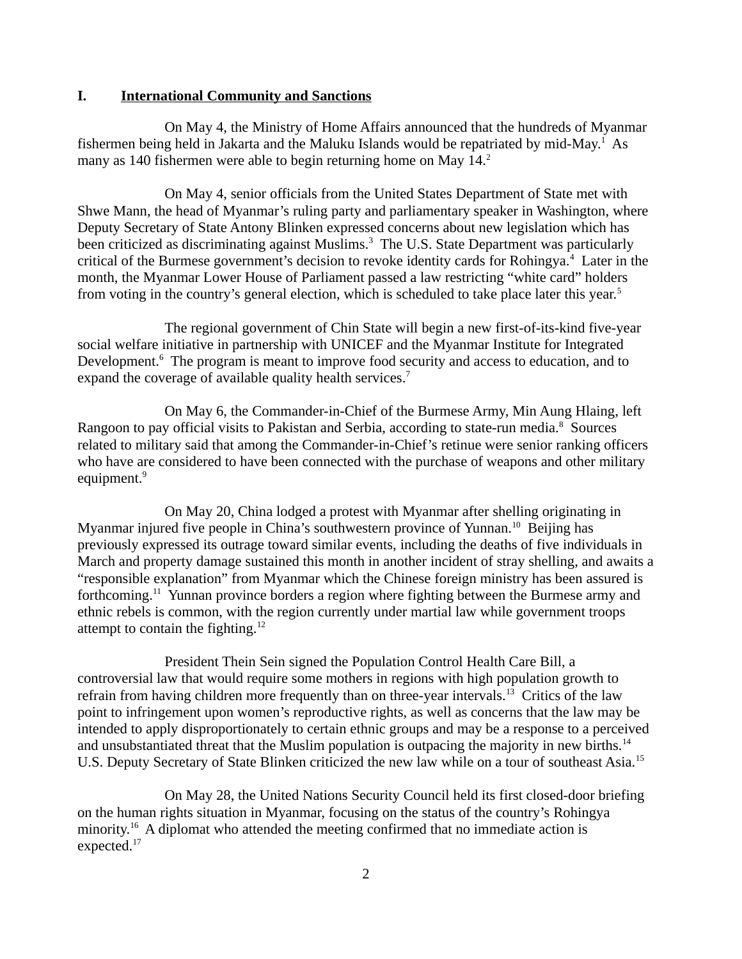## <span id="page-1-0"></span>**I. International Community and Sanctions**

On May 4, the Ministry of Home Affairs announced that the hundreds of Myanmar fishermen being held in Jakarta and the Maluku Islands would be repatriated by mid-May.<sup>1</sup> As many as 140 fishermen were able to begin returning home on May 14.<sup>2</sup>

On May 4, senior officials from the United States Department of State met with Shwe Mann, the head of Myanmar's ruling party and parliamentary speaker in Washington, where Deputy Secretary of State Antony Blinken expressed concerns about new legislation which has been criticized as discriminating against Muslims.<sup>3</sup> The U.S. State Department was particularly critical of the Burmese government's decision to revoke identity cards for Rohingya.<sup>4</sup> Later in the month, the Myanmar Lower House of Parliament passed a law restricting "white card" holders from voting in the country's general election, which is scheduled to take place later this year.<sup>5</sup>

The regional government of Chin State will begin a new first-of-its-kind five-year social welfare initiative in partnership with UNICEF and the Myanmar Institute for Integrated Development.<sup>6</sup> The program is meant to improve food security and access to education, and to expand the coverage of available quality health services.<sup>7</sup>

On May 6, the Commander-in-Chief of the Burmese Army, Min Aung Hlaing, left Rangoon to pay official visits to Pakistan and Serbia, according to state-run media.<sup>8</sup> Sources related to military said that among the Commander-in-Chief's retinue were senior ranking officers who have are considered to have been connected with the purchase of weapons and other military equipment.<sup>9</sup>

On May 20, China lodged a protest with Myanmar after shelling originating in Myanmar injured five people in China's southwestern province of Yunnan.<sup>10</sup> Beijing has previously expressed its outrage toward similar events, including the deaths of five individuals in March and property damage sustained this month in another incident of stray shelling, and awaits a "responsible explanation" from Myanmar which the Chinese foreign ministry has been assured is forthcoming.<sup>11</sup> Yunnan province borders a region where fighting between the Burmese army and ethnic rebels is common, with the region currently under martial law while government troops attempt to contain the fighting. $12$ 

President Thein Sein signed the Population Control Health Care Bill, a controversial law that would require some mothers in regions with high population growth to refrain from having children more frequently than on three-year intervals.<sup>13</sup> Critics of the law point to infringement upon women's reproductive rights, as well as concerns that the law may be intended to apply disproportionately to certain ethnic groups and may be a response to a perceived and unsubstantiated threat that the Muslim population is outpacing the majority in new births.<sup>14</sup> U.S. Deputy Secretary of State Blinken criticized the new law while on a tour of southeast Asia.<sup>15</sup>

On May 28, the United Nations Security Council held its first closed-door briefing on the human rights situation in Myanmar, focusing on the status of the country's Rohingya minority.<sup>16</sup> A diplomat who attended the meeting confirmed that no immediate action is expected.<sup>17</sup>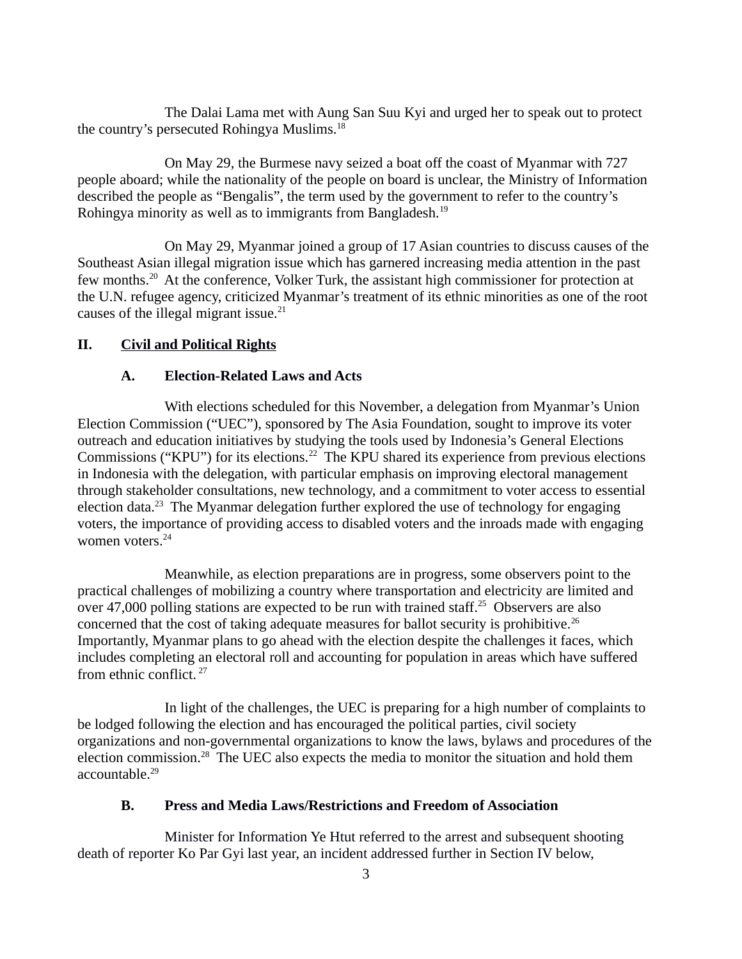The Dalai Lama met with Aung San Suu Kyi and urged her to speak out to protect the country's persecuted Rohingya Muslims.<sup>18</sup>

On May 29, the Burmese navy seized a boat off the coast of Myanmar with 727 people aboard; while the nationality of the people on board is unclear, the Ministry of Information described the people as "Bengalis", the term used by the government to refer to the country's Rohingya minority as well as to immigrants from Bangladesh.<sup>19</sup>

On May 29, Myanmar joined a group of 17 Asian countries to discuss causes of the Southeast Asian illegal migration issue which has garnered increasing media attention in the past few months.<sup>20</sup> At the conference, Volker Turk, the assistant high commissioner for protection at the U.N. refugee agency, criticized Myanmar's treatment of its ethnic minorities as one of the root causes of the illegal migrant issue. $21$ 

# **II. Civil and Political Rights**

# <span id="page-2-2"></span><span id="page-2-1"></span>**A. Election-Related Laws and Acts**

With elections scheduled for this November, a delegation from Myanmar's Union Election Commission ("UEC"), sponsored by The Asia Foundation, sought to improve its voter outreach and education initiatives by studying the tools used by Indonesia's General Elections Commissions ("KPU") for its elections.<sup>22</sup> The KPU shared its experience from previous elections in Indonesia with the delegation, with particular emphasis on improving electoral management through stakeholder consultations, new technology, and a commitment to voter access to essential election data.<sup>23</sup> The Myanmar delegation further explored the use of technology for engaging voters, the importance of providing access to disabled voters and the inroads made with engaging women voters.<sup>24</sup>

Meanwhile, as election preparations are in progress, some observers point to the practical challenges of mobilizing a country where transportation and electricity are limited and over 47,000 polling stations are expected to be run with trained staff.<sup>25</sup> Observers are also concerned that the cost of taking adequate measures for ballot security is prohibitive.<sup>26</sup> Importantly, Myanmar plans to go ahead with the election despite the challenges it faces, which includes completing an electoral roll and accounting for population in areas which have suffered from ethnic conflict. <sup>27</sup>

In light of the challenges, the UEC is preparing for a high number of complaints to be lodged following the election and has encouraged the political parties, civil society organizations and non-governmental organizations to know the laws, bylaws and procedures of the election commission.<sup>28</sup> The UEC also expects the media to monitor the situation and hold them accountable.<sup>29</sup>

# <span id="page-2-0"></span>**B. Press and Media Laws/Restrictions and Freedom of Association**

Minister for Information Ye Htut referred to the arrest and subsequent shooting death of reporter Ko Par Gyi last year, an incident addressed further in Section IV below,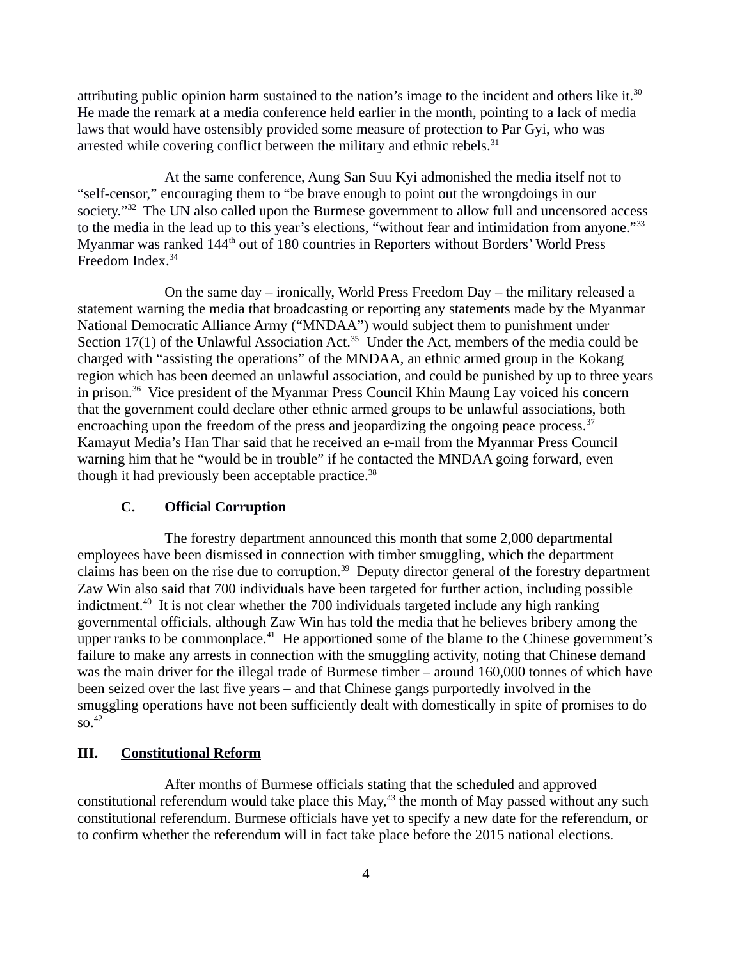attributing public opinion harm sustained to the nation's image to the incident and others like it.<sup>30</sup> He made the remark at a media conference held earlier in the month, pointing to a lack of media laws that would have ostensibly provided some measure of protection to Par Gyi, who was arrested while covering conflict between the military and ethnic rebels. $31$ 

At the same conference, Aung San Suu Kyi admonished the media itself not to "self-censor," encouraging them to "be brave enough to point out the wrongdoings in our society."<sup>32</sup> The UN also called upon the Burmese government to allow full and uncensored access to the media in the lead up to this year's elections, "without fear and intimidation from anyone."<sup>33</sup> Myanmar was ranked 144<sup>th</sup> out of 180 countries in Reporters without Borders' World Press Freedom Index.<sup>34</sup>

On the same day – ironically, World Press Freedom Day – the military released a statement warning the media that broadcasting or reporting any statements made by the Myanmar National Democratic Alliance Army ("MNDAA") would subject them to punishment under Section 17(1) of the Unlawful Association Act.<sup>35</sup> Under the Act, members of the media could be charged with "assisting the operations" of the MNDAA, an ethnic armed group in the Kokang region which has been deemed an unlawful association, and could be punished by up to three years in prison.<sup>36</sup> Vice president of the Myanmar Press Council Khin Maung Lay voiced his concern that the government could declare other ethnic armed groups to be unlawful associations, both encroaching upon the freedom of the press and jeopardizing the ongoing peace process. $37$ Kamayut Media's Han Thar said that he received an e-mail from the Myanmar Press Council warning him that he "would be in trouble" if he contacted the MNDAA going forward, even though it had previously been acceptable practice. $38$ 

### <span id="page-3-1"></span>**C. Official Corruption**

The forestry department announced this month that some 2,000 departmental employees have been dismissed in connection with timber smuggling, which the department claims has been on the rise due to corruption.<sup>39</sup> Deputy director general of the forestry department Zaw Win also said that 700 individuals have been targeted for further action, including possible indictment.<sup>40</sup> It is not clear whether the 700 individuals targeted include any high ranking governmental officials, although Zaw Win has told the media that he believes bribery among the upper ranks to be commonplace.<sup>41</sup> He apportioned some of the blame to the Chinese government's failure to make any arrests in connection with the smuggling activity, noting that Chinese demand was the main driver for the illegal trade of Burmese timber – around 160,000 tonnes of which have been seized over the last five years – and that Chinese gangs purportedly involved in the smuggling operations have not been sufficiently dealt with domestically in spite of promises to do  $50.<sup>42</sup>$ 

# <span id="page-3-0"></span>**III. Constitutional Reform**

After months of Burmese officials stating that the scheduled and approved constitutional referendum would take place this  $May,43$  the month of May passed without any such constitutional referendum. Burmese officials have yet to specify a new date for the referendum, or to confirm whether the referendum will in fact take place before the 2015 national elections.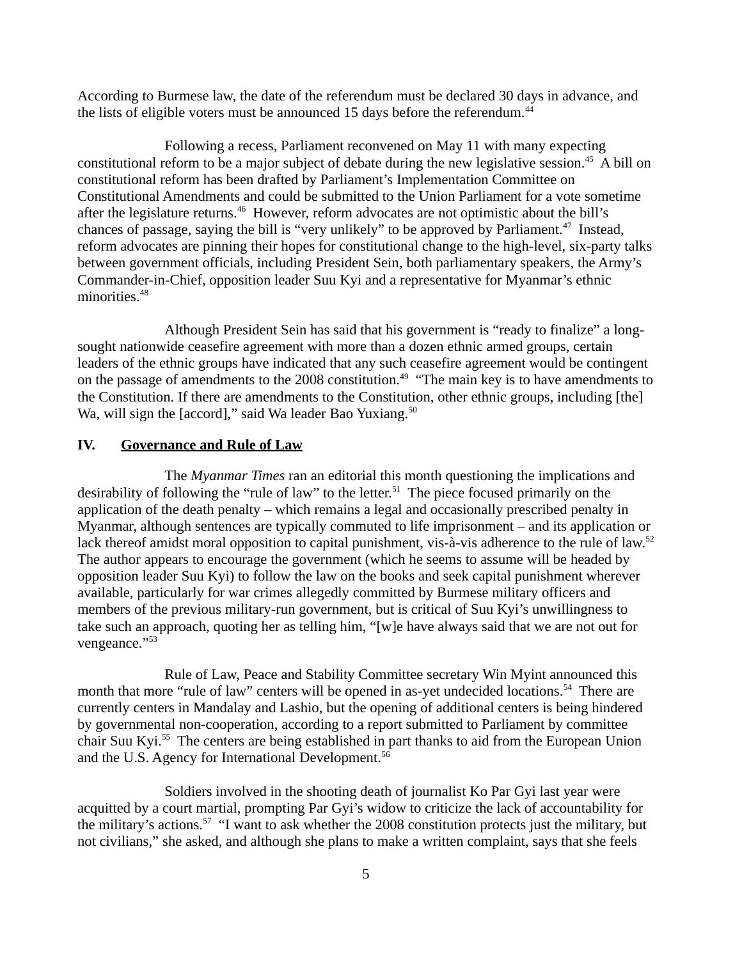According to Burmese law, the date of the referendum must be declared 30 days in advance, and the lists of eligible voters must be announced 15 days before the referendum. $44$ 

Following a recess, Parliament reconvened on May 11 with many expecting constitutional reform to be a major subject of debate during the new legislative session.<sup>45</sup> A bill on constitutional reform has been drafted by Parliament's Implementation Committee on Constitutional Amendments and could be submitted to the Union Parliament for a vote sometime after the legislature returns.<sup>46</sup> However, reform advocates are not optimistic about the bill's chances of passage, saying the bill is "very unlikely" to be approved by Parliament.<sup>47</sup> Instead, reform advocates are pinning their hopes for constitutional change to the high-level, six-party talks between government officials, including President Sein, both parliamentary speakers, the Army's Commander-in-Chief, opposition leader Suu Kyi and a representative for Myanmar's ethnic minorities.<sup>48</sup>

Although President Sein has said that his government is "ready to finalize" a longsought nationwide ceasefire agreement with more than a dozen ethnic armed groups, certain leaders of the ethnic groups have indicated that any such ceasefire agreement would be contingent on the passage of amendments to the 2008 constitution.<sup>49</sup> "The main key is to have amendments to the Constitution. If there are amendments to the Constitution, other ethnic groups, including [the] Wa, will sign the [accord]," said Wa leader Bao Yuxiang.<sup>50</sup>

### <span id="page-4-0"></span>**IV. Governance and Rule of Law**

The *Myanmar Times* ran an editorial this month questioning the implications and desirability of following the "rule of law" to the letter.<sup>51</sup> The piece focused primarily on the application of the death penalty – which remains a legal and occasionally prescribed penalty in Myanmar, although sentences are typically commuted to life imprisonment – and its application or lack thereof amidst moral opposition to capital punishment, vis-à-vis adherence to the rule of law.<sup>52</sup> The author appears to encourage the government (which he seems to assume will be headed by opposition leader Suu Kyi) to follow the law on the books and seek capital punishment wherever available, particularly for war crimes allegedly committed by Burmese military officers and members of the previous military-run government, but is critical of Suu Kyi's unwillingness to take such an approach, quoting her as telling him, "[w]e have always said that we are not out for vengeance."<sup>53</sup>

Rule of Law, Peace and Stability Committee secretary Win Myint announced this month that more "rule of law" centers will be opened in as-yet undecided locations.<sup>54</sup> There are currently centers in Mandalay and Lashio, but the opening of additional centers is being hindered by governmental non-cooperation, according to a report submitted to Parliament by committee chair Suu Kyi.<sup>55</sup> The centers are being established in part thanks to aid from the European Union and the U.S. Agency for International Development.<sup>56</sup>

Soldiers involved in the shooting death of journalist Ko Par Gyi last year were acquitted by a court martial, prompting Par Gyi's widow to criticize the lack of accountability for the military's actions.<sup>57</sup> "I want to ask whether the 2008 constitution protects just the military, but not civilians," she asked, and although she plans to make a written complaint, says that she feels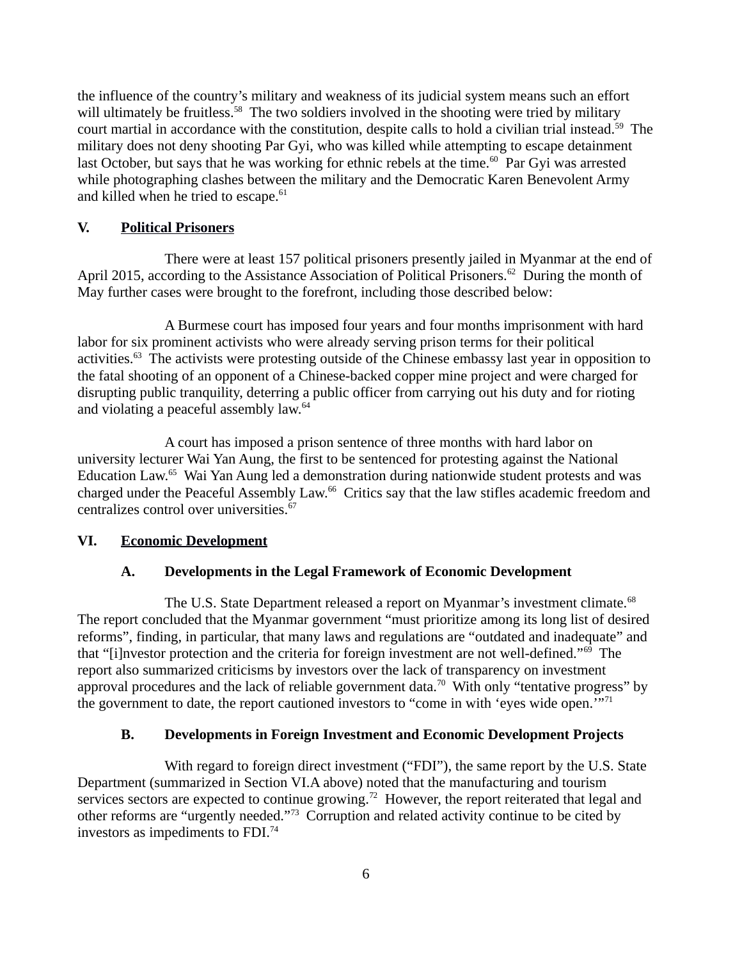the influence of the country's military and weakness of its judicial system means such an effort will ultimately be fruitless.<sup>58</sup> The two soldiers involved in the shooting were tried by military court martial in accordance with the constitution, despite calls to hold a civilian trial instead.<sup>59</sup> The military does not deny shooting Par Gyi, who was killed while attempting to escape detainment last October, but says that he was working for ethnic rebels at the time.<sup>60</sup> Par Gyi was arrested while photographing clashes between the military and the Democratic Karen Benevolent Army and killed when he tried to escape. $61$ 

# <span id="page-5-3"></span>**V. Political Prisoners**

There were at least 157 political prisoners presently jailed in Myanmar at the end of April 2015, according to the Assistance Association of Political Prisoners.<sup>62</sup> During the month of May further cases were brought to the forefront, including those described below:

A Burmese court has imposed four years and four months imprisonment with hard labor for six prominent activists who were already serving prison terms for their political activities.<sup>63</sup> The activists were protesting outside of the Chinese embassy last year in opposition to the fatal shooting of an opponent of a Chinese-backed copper mine project and were charged for disrupting public tranquility, deterring a public officer from carrying out his duty and for rioting and violating a peaceful assembly law.<sup>64</sup>

A court has imposed a prison sentence of three months with hard labor on university lecturer Wai Yan Aung, the first to be sentenced for protesting against the National Education Law.<sup>65</sup> Wai Yan Aung led a demonstration during nationwide student protests and was charged under the Peaceful Assembly Law.<sup>66</sup> Critics say that the law stifles academic freedom and centralizes control over universities.<sup>67</sup>

# **VI. Economic Development**

# <span id="page-5-2"></span><span id="page-5-1"></span>**A. Developments in the Legal Framework of Economic Development**

The U.S. State Department released a report on Myanmar's investment climate. $68$ The report concluded that the Myanmar government "must prioritize among its long list of desired reforms", finding, in particular, that many laws and regulations are "outdated and inadequate" and that "[i]nvestor protection and the criteria for foreign investment are not well-defined."<sup>69</sup> The report also summarized criticisms by investors over the lack of transparency on investment approval procedures and the lack of reliable government data.<sup>70</sup> With only "tentative progress" by the government to date, the report cautioned investors to "come in with 'eyes wide open." $71$ 

# <span id="page-5-0"></span>**B. Developments in Foreign Investment and Economic Development Projects**

With regard to foreign direct investment ("FDI"), the same report by the U.S. State Department (summarized in Section VI.A above) noted that the manufacturing and tourism services sectors are expected to continue growing.<sup>72</sup> However, the report reiterated that legal and other reforms are "urgently needed."<sup>73</sup> Corruption and related activity continue to be cited by investors as impediments to  $FDI.^{74}$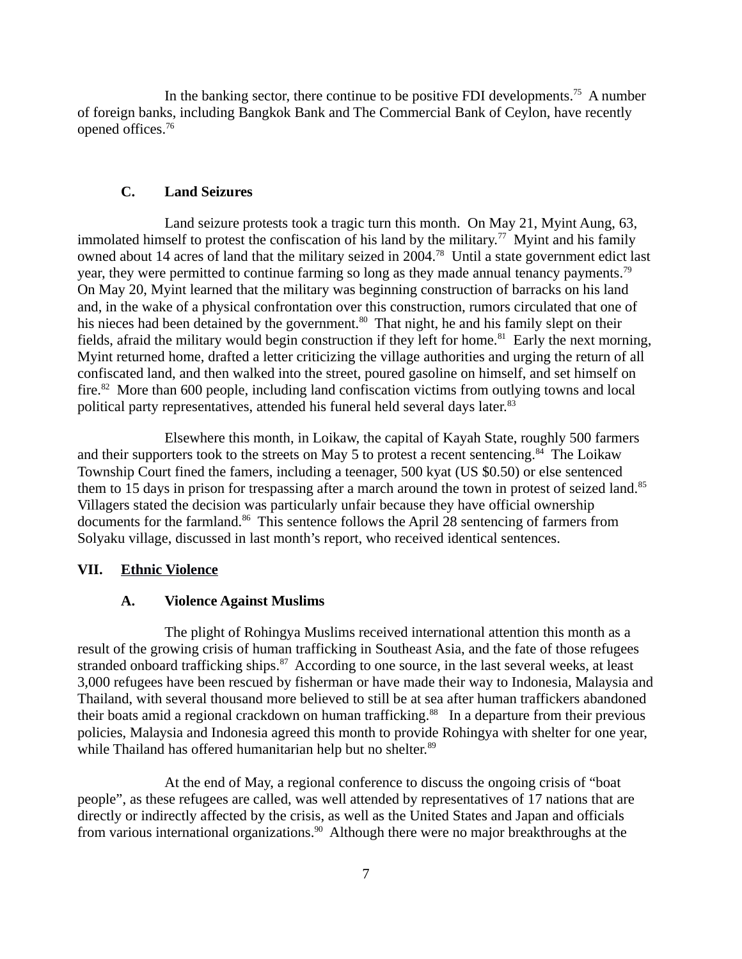In the banking sector, there continue to be positive FDI developments.<sup>75</sup> A number of foreign banks, including Bangkok Bank and The Commercial Bank of Ceylon, have recently opened offices. $76$ 

# <span id="page-6-2"></span>**C. Land Seizures**

Land seizure protests took a tragic turn this month. On May 21, Myint Aung, 63, immolated himself to protest the confiscation of his land by the military.<sup>77</sup> Myint and his family owned about 14 acres of land that the military seized in 2004.<sup>78</sup> Until a state government edict last year, they were permitted to continue farming so long as they made annual tenancy payments.<sup>79</sup> On May 20, Myint learned that the military was beginning construction of barracks on his land and, in the wake of a physical confrontation over this construction, rumors circulated that one of his nieces had been detained by the government.<sup>80</sup> That night, he and his family slept on their fields, afraid the military would begin construction if they left for home.<sup>81</sup> Early the next morning, Myint returned home, drafted a letter criticizing the village authorities and urging the return of all confiscated land, and then walked into the street, poured gasoline on himself, and set himself on fire.<sup>82</sup> More than 600 people, including land confiscation victims from outlying towns and local political party representatives, attended his funeral held several days later.<sup>83</sup>

Elsewhere this month, in Loikaw, the capital of Kayah State, roughly 500 farmers and their supporters took to the streets on May 5 to protest a recent sentencing. $84$  The Loikaw Township Court fined the famers, including a teenager, 500 kyat (US \$0.50) or else sentenced them to 15 days in prison for trespassing after a march around the town in protest of seized land.<sup>85</sup> Villagers stated the decision was particularly unfair because they have official ownership documents for the farmland.<sup>86</sup> This sentence follows the April 28 sentencing of farmers from Solyaku village, discussed in last month's report, who received identical sentences.

### **VII. Ethnic Violence**

#### <span id="page-6-1"></span><span id="page-6-0"></span>**A. Violence Against Muslims**

The plight of Rohingya Muslims received international attention this month as a result of the growing crisis of human trafficking in Southeast Asia, and the fate of those refugees stranded onboard trafficking ships.<sup>87</sup> According to one source, in the last several weeks, at least 3,000 refugees have been rescued by fisherman or have made their way to Indonesia, Malaysia and Thailand, with several thousand more believed to still be at sea after human traffickers abandoned their boats amid a regional crackdown on human trafficking.<sup>88</sup> In a departure from their previous policies, Malaysia and Indonesia agreed this month to provide Rohingya with shelter for one year, while Thailand has offered humanitarian help but no shelter.<sup>89</sup>

At the end of May, a regional conference to discuss the ongoing crisis of "boat people", as these refugees are called, was well attended by representatives of 17 nations that are directly or indirectly affected by the crisis, as well as the United States and Japan and officials from various international organizations.<sup>90</sup> Although there were no major breakthroughs at the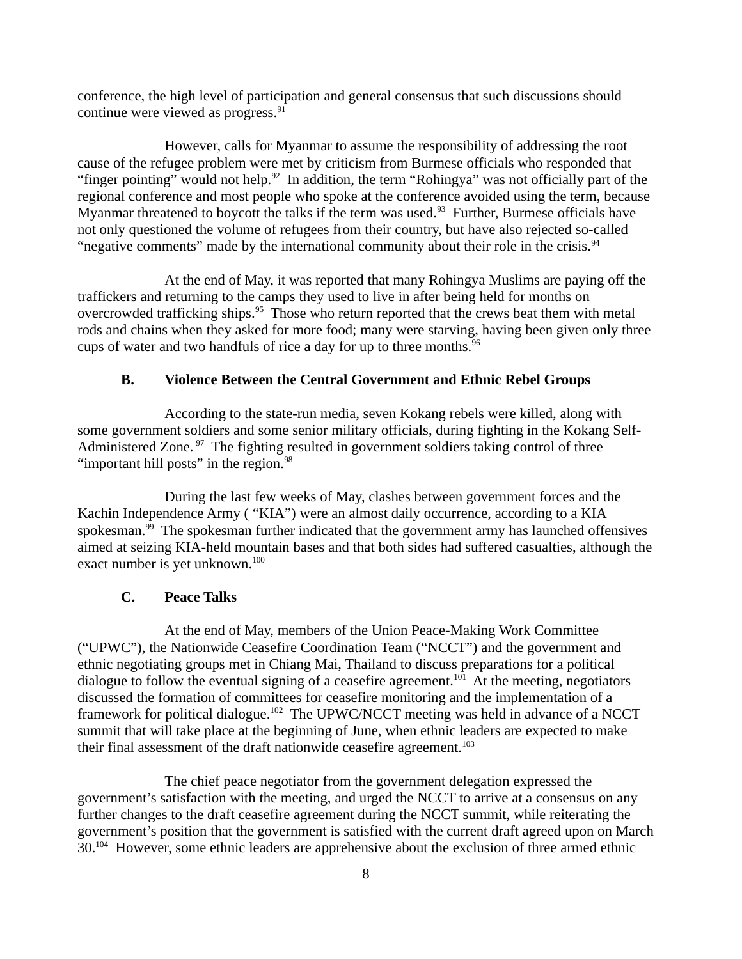conference, the high level of participation and general consensus that such discussions should continue were viewed as progress. $91$ 

However, calls for Myanmar to assume the responsibility of addressing the root cause of the refugee problem were met by criticism from Burmese officials who responded that "finger pointing" would not help. $92$  In addition, the term "Rohingya" was not officially part of the regional conference and most people who spoke at the conference avoided using the term, because Myanmar threatened to boycott the talks if the term was used. $93$  Further, Burmese officials have not only questioned the volume of refugees from their country, but have also rejected so-called "negative comments" made by the international community about their role in the crisis. $94$ 

At the end of May, it was reported that many Rohingya Muslims are paying off the traffickers and returning to the camps they used to live in after being held for months on overcrowded trafficking ships.<sup>95</sup> Those who return reported that the crews beat them with metal rods and chains when they asked for more food; many were starving, having been given only three cups of water and two handfuls of rice a day for up to three months.<sup>96</sup>

# <span id="page-7-1"></span>**B. Violence Between the Central Government and Ethnic Rebel Groups**

According to the state-run media, seven Kokang rebels were killed, along with some government soldiers and some senior military officials, during fighting in the Kokang Self-Administered Zone.<sup>97</sup> The fighting resulted in government soldiers taking control of three "important hill posts" in the region. $98$ 

During the last few weeks of May, clashes between government forces and the Kachin Independence Army ( "KIA") were an almost daily occurrence, according to a KIA spokesman. $99$  The spokesman further indicated that the government army has launched offensives aimed at seizing KIA-held mountain bases and that both sides had suffered casualties, although the exact number is yet unknown.<sup>100</sup>

### <span id="page-7-0"></span>**C. Peace Talks**

At the end of May, members of the Union Peace-Making Work Committee ("UPWC"), the Nationwide Ceasefire Coordination Team ("NCCT") and the government and ethnic negotiating groups met in Chiang Mai, Thailand to discuss preparations for a political dialogue to follow the eventual signing of a ceasefire agreement.<sup>101</sup> At the meeting, negotiators discussed the formation of committees for ceasefire monitoring and the implementation of a framework for political dialogue.<sup>102</sup> The UPWC/NCCT meeting was held in advance of a NCCT summit that will take place at the beginning of June, when ethnic leaders are expected to make their final assessment of the draft nationwide ceasefire agreement.<sup>103</sup>

The chief peace negotiator from the government delegation expressed the government's satisfaction with the meeting, and urged the NCCT to arrive at a consensus on any further changes to the draft ceasefire agreement during the NCCT summit, while reiterating the government's position that the government is satisfied with the current draft agreed upon on March 30.<sup>104</sup> However, some ethnic leaders are apprehensive about the exclusion of three armed ethnic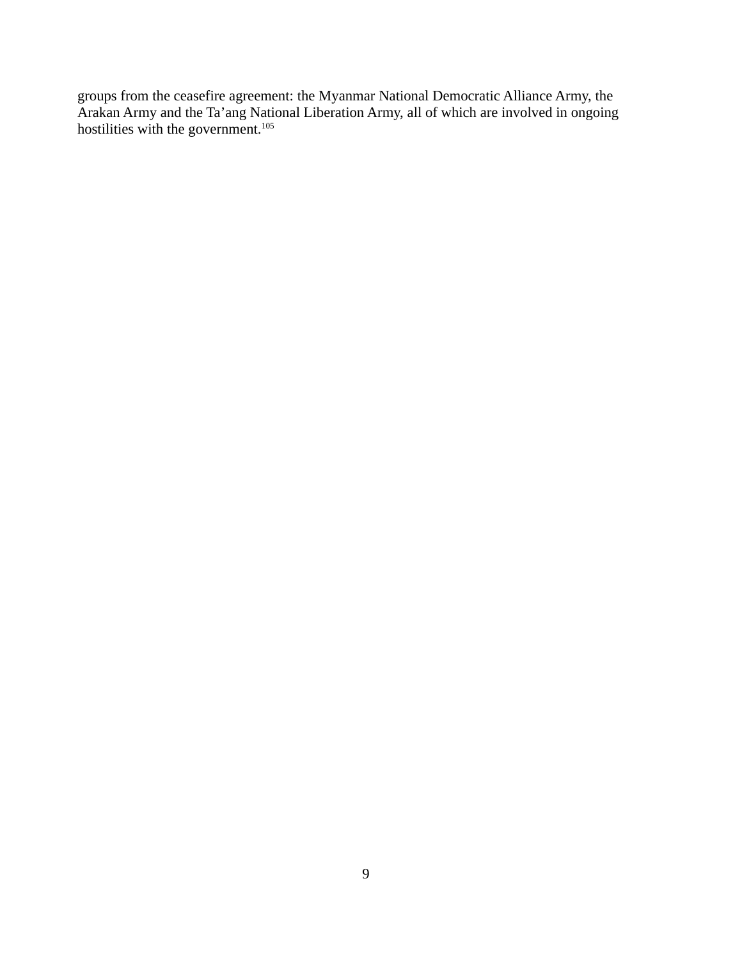groups from the ceasefire agreement: the Myanmar National Democratic Alliance Army, the Arakan Army and the Ta'ang National Liberation Army, all of which are involved in ongoing hostilities with the government. $105$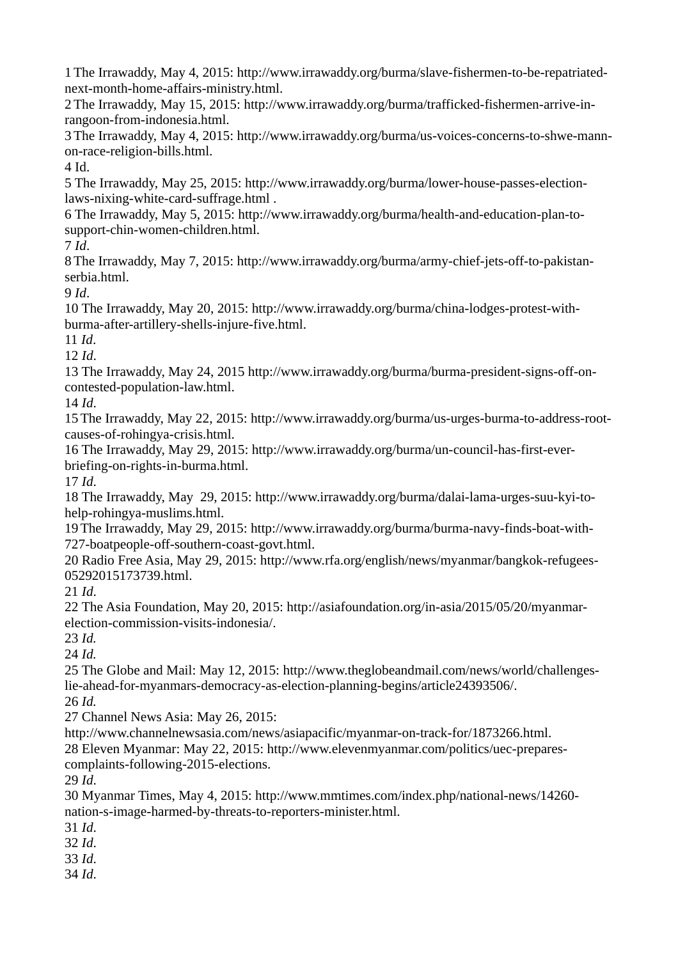1The Irrawaddy, May 4, 2015: http://www.irrawaddy.org/burma/slave-fishermen-to-be-repatriatednext-month-home-affairs-ministry.html.

2The Irrawaddy, May 15, 2015: http://www.irrawaddy.org/burma/trafficked-fishermen-arrive-inrangoon-from-indonesia.html.

3The Irrawaddy, May 4, 2015: http://www.irrawaddy.org/burma/us-voices-concerns-to-shwe-mannon-race-religion-bills.html.

4 Id.

5 The Irrawaddy, May 25, 2015: http://www.irrawaddy.org/burma/lower-house-passes-electionlaws-nixing-white-card-suffrage.html .

6 The Irrawaddy, May 5, 2015: http://www.irrawaddy.org/burma/health-and-education-plan-tosupport-chin-women-children.html.

7 *Id*.

8The Irrawaddy, May 7, 2015: http://www.irrawaddy.org/burma/army-chief-jets-off-to-pakistanserbia.html.

9 *Id*.

10 The Irrawaddy, May 20, 2015: http://www.irrawaddy.org/burma/china-lodges-protest-withburma-after-artillery-shells-injure-five.html.

11 *Id*.

12 *Id*.

13 The Irrawaddy, May 24, 2015 http://www.irrawaddy.org/burma/burma-president-signs-off-oncontested-population-law.html.

14 *Id*.

15The Irrawaddy, May 22, 2015: http://www.irrawaddy.org/burma/us-urges-burma-to-address-rootcauses-of-rohingya-crisis.html.

16 The Irrawaddy, May 29, 2015: http://www.irrawaddy.org/burma/un-council-has-first-everbriefing-on-rights-in-burma.html.

17 *Id*.

18 The Irrawaddy, May 29, 2015: http://www.irrawaddy.org/burma/dalai-lama-urges-suu-kyi-tohelp-rohingya-muslims.html.

19The Irrawaddy, May 29, 2015: http://www.irrawaddy.org/burma/burma-navy-finds-boat-with-727-boatpeople-off-southern-coast-govt.html.

20 Radio Free Asia, May 29, 2015: http://www.rfa.org/english/news/myanmar/bangkok-refugees-05292015173739.html.

21 *Id*.

22 The Asia Foundation, May 20, 2015: http://asiafoundation.org/in-asia/2015/05/20/myanmarelection-commission-visits-indonesia/.

23 *Id.*

24 *Id.*

25 The Globe and Mail: May 12, 2015: http://www.theglobeandmail.com/news/world/challengeslie-ahead-for-myanmars-democracy-as-election-planning-begins/article24393506/. 26 *Id.*

27 Channel News Asia: May 26, 2015:

http://www.channelnewsasia.com/news/asiapacific/myanmar-on-track-for/1873266.html. 28 Eleven Myanmar: May 22, 2015: http://www.elevenmyanmar.com/politics/uec-preparescomplaints-following-2015-elections.

29 *Id*.

30 Myanmar Times, May 4, 2015: http://www.mmtimes.com/index.php/national-news/14260 nation-s-image-harmed-by-threats-to-reporters-minister.html.

31 *Id*.

32 *Id*.

33 *Id*.

34 *Id*.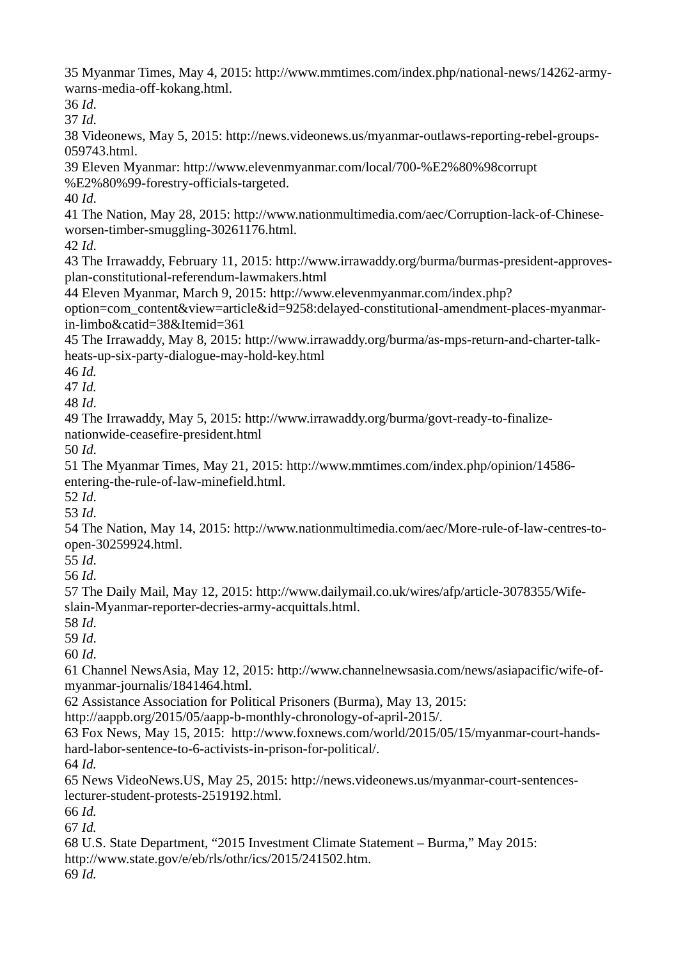35 Myanmar Times, May 4, 2015: http://www.mmtimes.com/index.php/national-news/14262-armywarns-media-off-kokang.html.

36 *Id*.

37 *Id*.

38 Videonews, May 5, 2015: http://news.videonews.us/myanmar-outlaws-reporting-rebel-groups-059743.html.

39 Eleven Myanmar: http://www.elevenmyanmar.com/local/700-%E2%80%98corrupt %E2%80%99-forestry-officials-targeted.

40 *Id*.

41 The Nation, May 28, 2015: http://www.nationmultimedia.com/aec/Corruption-lack-of-Chineseworsen-timber-smuggling-30261176.html.

42 *Id*.

43 The Irrawaddy, February 11, 2015: http://www.irrawaddy.org/burma/burmas-president-approvesplan-constitutional-referendum-lawmakers.html

44 Eleven Myanmar, March 9, 2015: http://www.elevenmyanmar.com/index.php?

option=com\_content&view=article&id=9258:delayed-constitutional-amendment-places-myanmarin-limbo&catid=38&Itemid=361

45 The Irrawaddy, May 8, 2015: http://www.irrawaddy.org/burma/as-mps-return-and-charter-talkheats-up-six-party-dialogue-may-hold-key.html

46 *Id.*

47 *Id.*

48 *Id*.

49 The Irrawaddy, May 5, 2015: http://www.irrawaddy.org/burma/govt-ready-to-finalizenationwide-ceasefire-president.html

50 *Id*.

51 The Myanmar Times, May 21, 2015: http://www.mmtimes.com/index.php/opinion/14586 entering-the-rule-of-law-minefield.html.

52 *Id*.

53 *Id*.

54 The Nation, May 14, 2015: http://www.nationmultimedia.com/aec/More-rule-of-law-centres-toopen-30259924.html.

55 *Id*.

56 *Id*.

57 The Daily Mail, May 12, 2015: http://www.dailymail.co.uk/wires/afp/article-3078355/Wifeslain-Myanmar-reporter-decries-army-acquittals.html.

58 *Id*.

59 *Id*.

60 *Id*.

61 Channel NewsAsia, May 12, 2015: http://www.channelnewsasia.com/news/asiapacific/wife-ofmyanmar-journalis/1841464.html.

62 Assistance Association for Political Prisoners (Burma), May 13, 2015:

http://aappb.org/2015/05/aapp-b-monthly-chronology-of-april-2015/.

63 Fox News, May 15, 2015: http://www.foxnews.com/world/2015/05/15/myanmar-court-handshard-labor-sentence-to-6-activists-in-prison-for-political/.

64 *Id.*

65 News VideoNews.US, May 25, 2015: http://news.videonews.us/myanmar-court-sentenceslecturer-student-protests-2519192.html.

66 *Id.*

67 *Id.*

68 U.S. State Department, "2015 Investment Climate Statement – Burma," May 2015: http://www.state.gov/e/eb/rls/othr/ics/2015/241502.htm.

69 *Id.*